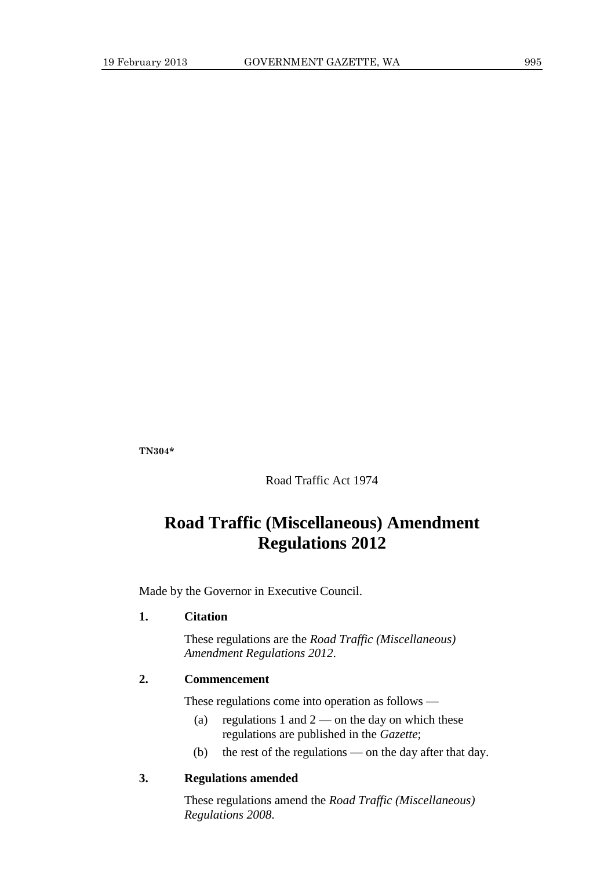**TN304\***

Road Traffic Act 1974

# **Road Traffic (Miscellaneous) Amendment Regulations 2012**

Made by the Governor in Executive Council.

### **1. Citation**

These regulations are the *Road Traffic (Miscellaneous) Amendment Regulations 2012*.

## **2. Commencement**

These regulations come into operation as follows —

- (a) regulations 1 and  $2$  on the day on which these regulations are published in the *Gazette*;
- (b) the rest of the regulations on the day after that day.

### **3. Regulations amended**

These regulations amend the *Road Traffic (Miscellaneous) Regulations 2008*.